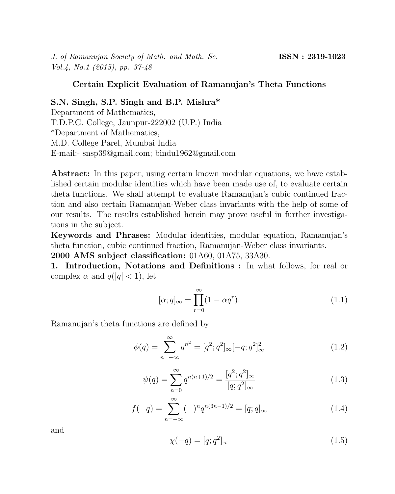J. of Ramanujan Society of Math. and Math. Sc. **ISSN : 2319-1023** Vol.4, No.1 (2015), pp. 37-48

### Certain Explicit Evaluation of Ramanujan's Theta Functions

# S.N. Singh, S.P. Singh and B.P. Mishra\*

Department of Mathematics, T.D.P.G. College, Jaunpur-222002 (U.P.) India \*Department of Mathematics, M.D. College Parel, Mumbai India E-mail:- snsp39@gmail.com; bindu1962@gmail.com

Abstract: In this paper, using certain known modular equations, we have established certain modular identities which have been made use of, to evaluate certain theta functions. We shall attempt to evaluate Ramanujan's cubic continued fraction and also certain Ramanujan-Weber class invariants with the help of some of our results. The results established herein may prove useful in further investigations in the subject.

Keywords and Phrases: Modular identities, modular equation, Ramanujan's theta function, cubic continued fraction, Ramanujan-Weber class invariants. 2000 AMS subject classification: 01A60, 01A75, 33A30.

1. Introduction, Notations and Definitions : In what follows, for real or complex  $\alpha$  and  $q(|q| < 1)$ , let

$$
[\alpha; q]_{\infty} = \prod_{r=0}^{\infty} (1 - \alpha q^r). \tag{1.1}
$$

Ramanujan's theta functions are defined by

$$
\phi(q) = \sum_{n = -\infty}^{\infty} q^{n^2} = [q^2; q^2]_{\infty} [-q; q^2]_{\infty}^2
$$
\n(1.2)

$$
\psi(q) = \sum_{n=0}^{\infty} q^{n(n+1)/2} = \frac{[q^2; q^2]_{\infty}}{[q; q^2]_{\infty}}
$$
\n(1.3)

$$
f(-q) = \sum_{n = -\infty}^{\infty} (-)^n q^{n(3n-1)/2} = [q; q]_{\infty}
$$
 (1.4)

and

$$
\chi(-q) = [q; q^2]_{\infty} \tag{1.5}
$$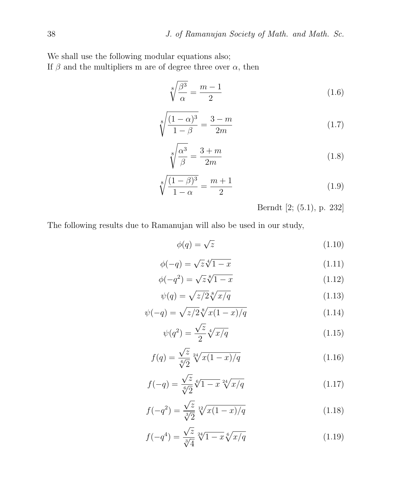We shall use the following modular equations also;

If  $\beta$  and the multipliers m are of degree three over  $\alpha$ , then

$$
\sqrt[8]{\frac{\beta^3}{\alpha}} = \frac{m-1}{2} \tag{1.6}
$$

$$
\sqrt[8]{\frac{(1-\alpha)^3}{1-\beta}} = \frac{3-m}{2m} \tag{1.7}
$$

$$
\sqrt[8]{\frac{\alpha^3}{\beta}} = \frac{3+m}{2m} \tag{1.8}
$$

$$
\sqrt[8]{\frac{(1-\beta)^3}{1-\alpha}} = \frac{m+1}{2}
$$
\n(1.9)

Berndt [2; (5.1), p. 232]

The following results due to Ramanujan will also be used in our study,

$$
\phi(q) = \sqrt{z} \tag{1.10}
$$

$$
\phi(-q) = \sqrt{z}\sqrt[4]{1-x} \tag{1.11}
$$

$$
\phi(-q^2) = \sqrt{z} \sqrt[8]{1-x} \tag{1.12}
$$

$$
\psi(q) = \sqrt{z/2} \sqrt[8]{x/q} \tag{1.13}
$$

$$
\psi(-q) = \sqrt{z/2} \sqrt[8]{x(1-x)/q} \tag{1.14}
$$

$$
\psi(q^2) = \frac{\sqrt{z}}{2} \sqrt[4]{x/q} \tag{1.15}
$$

$$
f(q) = \frac{\sqrt{z}}{\sqrt[6]{2}} \sqrt[24]{x(1-x)/q} \tag{1.16}
$$

$$
f(-q) = \frac{\sqrt{z}}{\sqrt[6]{2}} \sqrt[6]{1-x} \sqrt[24]{x/q}
$$
 (1.17)

$$
f(-q^2) = \frac{\sqrt{z}}{\sqrt[3]{2}} \sqrt[12]{x(1-x)/q} \tag{1.18}
$$

$$
f(-q^4) = \frac{\sqrt{z}}{\sqrt[3]{4}} \sqrt[24]{1-x} \sqrt[6]{x/q}
$$
 (1.19)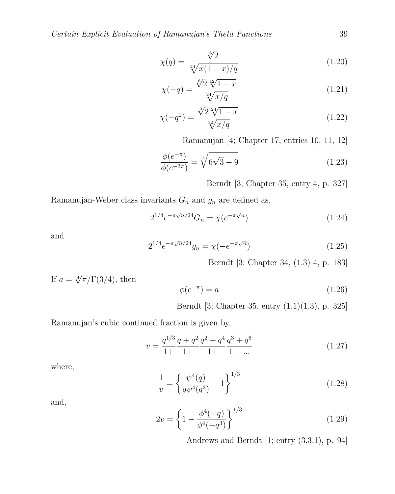$$
\chi(q) = \frac{\sqrt[6]{2}}{\sqrt[24]{x(1-x)/q}}\tag{1.20}
$$

$$
\chi(-q) = \frac{\sqrt[6]{2} \sqrt[12]{1-x}}{\sqrt[24]{x/q}}
$$
\n(1.21)

$$
\chi(-q^2) = \frac{\sqrt[3]{2} \sqrt[24]{1-x}}{\sqrt[12]{x/q}}
$$
\n(1.22)

Ramanujan [4; Chapter 17, entries 10, 11, 12]

$$
\frac{\phi(e^{-\pi})}{\phi(e^{-3\pi})} = \sqrt[4]{6\sqrt{3} - 9} \tag{1.23}
$$

Berndt [3; Chapter 35, entry 4, p. 327]

Ramanujan-Weber class invariants  $G_n$  and  $g_n$  are defined as,

$$
2^{1/4}e^{-\pi\sqrt{n}/24}G_n = \chi(e^{-\pi\sqrt{n}})
$$
\n(1.24)

and

$$
2^{1/4}e^{-\pi\sqrt{n}/24}g_n = \chi(-e^{-\pi\sqrt{n}})
$$
\n(1.25)

Berndt [3; Chapter 34, (1.3) 4, p. 183]

If 
$$
a = \sqrt[4]{\pi}/\Gamma(3/4)
$$
, then  

$$
\phi(e^{-\pi}) = a \tag{1.26}
$$

Berndt [3; Chapter 35, entry (1.1)(1.3), p. 325]

Ramanujan's cubic continued fraction is given by,

$$
v = \frac{q^{1/3}}{1+} \frac{q+q^2}{1+} \frac{q^2+q^4}{1+} \frac{q^3+q^6}{1+} \tag{1.27}
$$

where,

$$
\frac{1}{v} = \left\{ \frac{\psi^4(q)}{q\psi^4(q^3)} - 1 \right\}^{1/3} \tag{1.28}
$$

and,

$$
2v = \left\{1 - \frac{\phi^4(-q)}{\phi^4(-q^3)}\right\}^{1/3} \tag{1.29}
$$

Andrews and Berndt [1; entry (3.3.1), p. 94]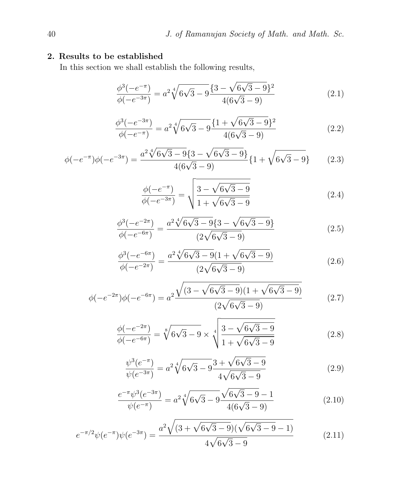# 2. Results to be established

In this section we shall establish the following results,

$$
\frac{\phi^3(-e^{-\pi})}{\phi(-e^{-3\pi})} = a^2 \sqrt[4]{6\sqrt{3} - 9} \frac{\{3 - \sqrt{6\sqrt{3} - 9}\}^2}{4(6\sqrt{3} - 9)}
$$
\n(2.1)

$$
\frac{\phi^3(-e^{-3\pi})}{\phi(-e^{-\pi})} = a^2 \sqrt[4]{6\sqrt{3} - 9} \frac{\{1 + \sqrt{6\sqrt{3} - 9}\}^2}{4(6\sqrt{3} - 9)}
$$
(2.2)

$$
\phi(-e^{-\pi})\phi(-e^{-3\pi}) = \frac{a^2\sqrt[4]{6\sqrt{3}-9}\{3-\sqrt{6\sqrt{3}-9}\}}{4(6\sqrt{3}-9)}\{1+\sqrt{6\sqrt{3}-9}\}\tag{2.3}
$$

$$
\frac{\phi(-e^{-\pi})}{\phi(-e^{-3\pi})} = \sqrt{\frac{3 - \sqrt{6\sqrt{3} - 9}}{1 + \sqrt{6\sqrt{3} - 9}}}
$$
\n(2.4)

$$
\frac{\phi^3(-e^{-2\pi})}{\phi(-e^{-6\pi})} = \frac{a^2 \sqrt[4]{6\sqrt{3} - 9} \{3 - \sqrt{6\sqrt{3} - 9}\}}{(2\sqrt{6\sqrt{3} - 9})}
$$
(2.5)

$$
\frac{\phi^3(-e^{-6\pi})}{\phi(-e^{-2\pi})} = \frac{a^2 \sqrt[4]{6\sqrt{3} - 9}(1 + \sqrt{6\sqrt{3} - 9})}{(2\sqrt{6\sqrt{3} - 9})}
$$
(2.6)

$$
\phi(-e^{-2\pi})\phi(-e^{-6\pi}) = a^2 \frac{\sqrt{(3-\sqrt{6\sqrt{3}-9})(1+\sqrt{6\sqrt{3}-9})}}{(2\sqrt{6\sqrt{3}-9})}
$$
(2.7)

$$
\frac{\phi(-e^{-2\pi})}{\phi(-e^{-6\pi})} = \sqrt[8]{6\sqrt{3} - 9} \times \sqrt[4]{\frac{3 - \sqrt{6\sqrt{3} - 9}}{1 + \sqrt{6\sqrt{3} - 9}}}
$$
\n(2.8)

$$
\frac{\psi^3(e^{-\pi})}{\psi(e^{-3\pi})} = a^2 \sqrt[4]{6\sqrt{3} - 9} \frac{3 + \sqrt{6\sqrt{3} - 9}}{4\sqrt{6\sqrt{3} - 9}}
$$
\n(2.9)

$$
\frac{e^{-\pi}\psi^3(e^{-3\pi})}{\psi(e^{-\pi})} = a^2 \sqrt[4]{6\sqrt{3} - 9} \frac{\sqrt{6\sqrt{3} - 9} - 1}{4(6\sqrt{3} - 9)}
$$
(2.10)

$$
e^{-\pi/2}\psi(e^{-\pi})\psi(e^{-3\pi}) = \frac{a^2\sqrt{(3+\sqrt{6\sqrt{3}-9})(\sqrt{6\sqrt{3}-9}-1)}}{4\sqrt{6\sqrt{3}-9}}
$$
(2.11)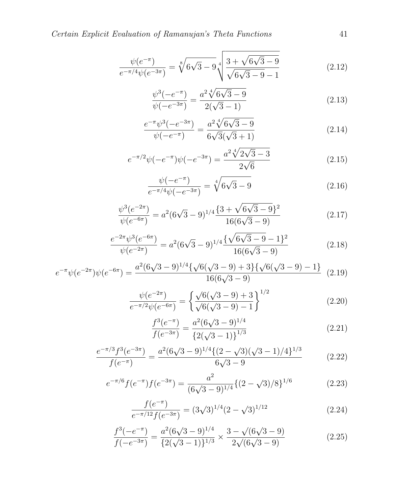$$
\frac{\psi(e^{-\pi})}{e^{-\pi/4}\psi(e^{-3\pi})} = \sqrt[8]{6\sqrt{3} - 9} \sqrt[4]{\frac{3 + \sqrt{6\sqrt{3} - 9}}{\sqrt{6\sqrt{3} - 9} - 1}}\n \tag{2.12}
$$

$$
\frac{\psi^3(-e^{-\pi})}{\psi(-e^{-3\pi})} = \frac{a^2 \sqrt[4]{6\sqrt{3} - 9}}{2(\sqrt{3} - 1)}
$$
\n(2.13)

$$
\frac{e^{-\pi}\psi^3(-e^{-3\pi})}{\psi(-e^{-\pi})} = \frac{a^2\sqrt[4]{6\sqrt{3}-9}}{6\sqrt{3}(\sqrt{3}+1)}
$$
(2.14)

$$
e^{-\pi/2}\psi(-e^{-\pi})\psi(-e^{-3\pi}) = \frac{a^2\sqrt[4]{2\sqrt{3}-3}}{2\sqrt{6}}\tag{2.15}
$$

$$
\frac{\psi(-e^{-\pi})}{e^{-\pi/4}\psi(-e^{-3\pi})} = \sqrt[4]{6\sqrt{3} - 9} \tag{2.16}
$$

$$
\frac{\psi^3(e^{-2\pi})}{\psi(e^{-6\pi})} = a^2(6\sqrt{3} - 9)^{1/4} \frac{\{3 + \sqrt{6\sqrt{3} - 9}\}^2}{16(6\sqrt{3} - 9)}
$$
\n(2.17)

$$
\frac{e^{-2\pi}\psi^3(e^{-6\pi})}{\psi(e^{-2\pi})} = a^2(6\sqrt{3}-9)^{1/4}\frac{\{\sqrt{6\sqrt{3}-9}-1\}^2}{16(6\sqrt{3}-9)}
$$
(2.18)

$$
e^{-\pi}\psi(e^{-2\pi})\psi(e^{-6\pi}) = \frac{a^2(6\sqrt{3}-9)^{1/4}\{\sqrt{6}(\sqrt{3}-9)+3\}\{\sqrt{6}(\sqrt{3}-9)-1\}}{16(6\sqrt{3}-9)} \tag{2.19}
$$

$$
\frac{\psi(e^{-2\pi})}{e^{-\pi/2}\psi(e^{-6\pi})} = \left\{ \frac{\sqrt{6}(\sqrt{3}-9)+3}{\sqrt{6}(\sqrt{3}-9)-1} \right\}^{1/2}
$$
\n(2.20)

$$
\frac{f^3(e^{-\pi})}{f(e^{-3\pi})} = \frac{a^2(6\sqrt{3}-9)^{1/4}}{\left\{2(\sqrt{3}-1)\right\}^{1/3}}
$$
(2.21)

$$
\frac{e^{-\pi/3}f^3(e^{-3\pi})}{f(e^{-\pi})} = \frac{a^2(6\sqrt{3}-9)^{1/4}\{(2-\sqrt{3})(\sqrt{3}-1)/4\}^{1/3}}{6\sqrt{3}-9}
$$
(2.22)

$$
e^{-\pi/6} f(e^{-\pi}) f(e^{-3\pi}) = \frac{a^2}{(6\sqrt{3} - 9)^{1/4}} \{ (2 - \sqrt{3})/8 \}^{1/6}
$$
 (2.23)

$$
\frac{f(e^{-\pi})}{e^{-\pi/12}f(e^{-3\pi})} = (3\sqrt{3})^{1/4}(2-\sqrt{3})^{1/12}
$$
\n(2.24)

$$
\frac{f^3(-e^{-\pi})}{f(-e^{-3\pi})} = \frac{a^2(6\sqrt{3}-9)^{1/4}}{\{2(\sqrt{3}-1)\}^{1/3}} \times \frac{3-\sqrt{(6\sqrt{3}-9)}}{2\sqrt{(6\sqrt{3}-9)}}\tag{2.25}
$$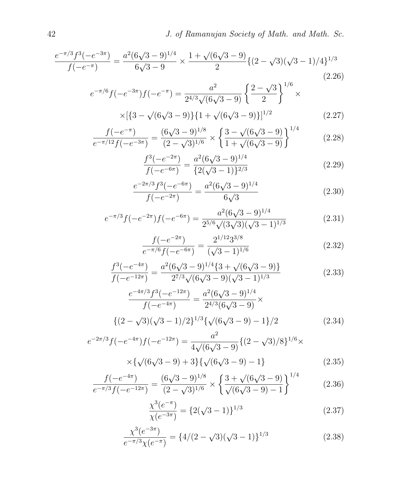$$
\frac{e^{-\pi/3}f^3(-e^{-3\pi})}{f(-e^{-\pi})} = \frac{a^2(6\sqrt{3}-9)^{1/4}}{6\sqrt{3}-9} \times \frac{1+\sqrt{(6\sqrt{3}-9)}}{2} \{ (2-\sqrt{3})(\sqrt{3}-1)/4 \}^{1/3}
$$
\n(2.26)

$$
e^{-\pi/6}f(-e^{-3\pi})f(-e^{-\pi}) = \frac{a^2}{2^{4/3}\sqrt{(6\sqrt{3}-9)}} \left\{ \frac{2-\sqrt{3}}{2} \right\}^{1/6} \times
$$
  
×[{3-\sqrt{(6\sqrt{3}-9)}}{1+\sqrt{(6\sqrt{3}-9)}}]^{1/2} (2.27)

$$
\frac{f(-e^{-\pi})}{e^{-\pi/12}f(-e^{-3\pi})} = \frac{(6\sqrt{3}-9)^{1/8}}{(2-\sqrt{3})^{1/6}} \times \left\{ \frac{3-\sqrt{(6\sqrt{3}-9)}}{1+\sqrt{(6\sqrt{3}-9)}} \right\}^{1/4}
$$
(2.28)

$$
\frac{f^3(-e^{-2\pi})}{f(-e^{-6\pi})} = \frac{a^2(6\sqrt{3}-9)^{1/4}}{\{2(\sqrt{3}-1)\}^{2/3}}
$$
(2.29)

$$
\frac{e^{-2\pi/3}f^3(-e^{-6\pi})}{f(-e^{-2\pi})} = \frac{a^2(6\sqrt{3}-9)^{1/4}}{6\sqrt{3}}
$$
(2.30)

$$
e^{-\pi/3}f(-e^{-2\pi})f(-e^{-6\pi}) = \frac{a^2(6\sqrt{3}-9)^{1/4}}{2^{5/6}\sqrt{(3\sqrt{3})(\sqrt{3}-1)^{1/3}}}
$$
(2.31)

$$
\frac{f(-e^{-2\pi})}{e^{-\pi/6}f(-e^{-6\pi})} = \frac{2^{1/12}3^{3/8}}{(\sqrt{3}-1)^{1/6}}
$$
(2.32)

$$
\frac{f^3(-e^{-4\pi})}{f(-e^{-12\pi})} = \frac{a^2(6\sqrt{3}-9)^{1/4}\{3+\sqrt{(6\sqrt{3}-9)}\}}{2^{7/3}\sqrt{(6\sqrt{3}-9)(\sqrt{3}-1)^{1/3}}}
$$
(2.33)

$$
\frac{e^{-4\pi/3}f^3(-e^{-12\pi})}{f(-e^{-4\pi})} = \frac{a^2(6\sqrt{3}-9)^{1/4}}{2^{4/3}(6\sqrt{3}-9)} \times
$$
  

$$
\{(2-\sqrt{3})(\sqrt{3}-1)/2\}^{1/3}\{\sqrt{(6\sqrt{3}-9)}-1\}/2
$$
 (2.34)

$$
e^{-2\pi/3}f(-e^{-4\pi})f(-e^{-12\pi}) = \frac{a^2}{4\sqrt{(6\sqrt{3}-9)}}\{(2-\sqrt{3})/8\}^{1/6}\times
$$

$$
\times \{\sqrt{(6\sqrt{3}-9)}+3\}\{\sqrt{(6\sqrt{3}-9)}-1\}
$$
(2.35)

$$
\frac{f(-e^{-4\pi})}{e^{-\pi/3}f(-e^{-12\pi})} = \frac{(6\sqrt{3}-9)^{1/8}}{(2-\sqrt{3})^{1/6}} \times \left\{ \frac{3+\sqrt{(6\sqrt{3}-9)}}{\sqrt{(6\sqrt{3}-9)-1}} \right\}^{1/4}
$$
(2.36)

$$
\frac{\chi^3(e^{-\pi})}{\chi(e^{-3\pi})} = \{2(\sqrt{3}-1)\}^{1/3}
$$
\n(2.37)

$$
\frac{\chi^3(e^{-3\pi})}{e^{-\pi/3}\chi(e^{-\pi})} = \{4/(2-\sqrt{3})(\sqrt{3}-1)\}^{1/3}
$$
\n(2.38)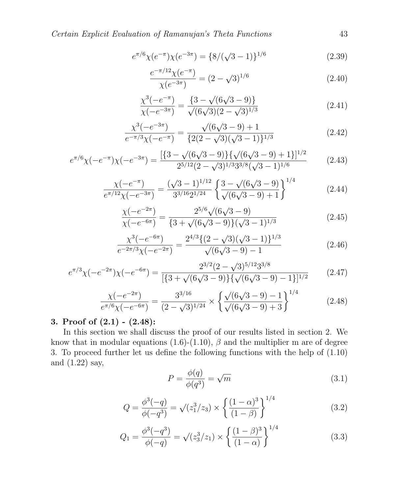Certain Explicit Evaluation of Ramanujan's Theta Functions 43

$$
e^{\pi/6} \chi(e^{-\pi}) \chi(e^{-3\pi}) = \{8/(\sqrt{3}-1)\}^{1/6}
$$
 (2.39)

$$
\frac{e^{-\pi/12}\chi(e^{-\pi})}{\chi(e^{-3\pi})} = (2-\sqrt{3})^{1/6}
$$
\n(2.40)

$$
\frac{\chi^3(-e^{-\pi})}{\chi(-e^{-3\pi})} = \frac{\{3 - \sqrt{(6\sqrt{3} - 9)}\}}{\sqrt{(6\sqrt{3})(2 - \sqrt{3})^{1/3}}}
$$
(2.41)

$$
\frac{\chi^3(-e^{-3\pi})}{e^{-\pi/3}\chi(-e^{-\pi})} = \frac{\sqrt{(6\sqrt{3}-9)+1}}{\{2(2-\sqrt{3})(\sqrt{3}-1)\}^{1/3}}
$$
(2.42)

$$
e^{\pi/6}\chi(-e^{-\pi})\chi(-e^{-3\pi}) = \frac{[\{3-\sqrt{(6\sqrt{3}-9)}\}\{\sqrt{(6\sqrt{3}-9)}+1\}]^{1/2}}{2^{5/12}(2-\sqrt{3})^{1/3}3^{3/8}(\sqrt{3}-1)^{1/6}}\tag{2.43}
$$

$$
\frac{\chi(-e^{-\pi})}{e^{\pi/12}\chi(-e^{-3\pi})} = \frac{(\sqrt{3}-1)^{1/12}}{3^{3/16}2^{1/24}} \left\{ \frac{3-\sqrt{(6\sqrt{3}-9)}}{\sqrt{(6\sqrt{3}-9)+1}} \right\}^{1/4}
$$
(2.44)

$$
\frac{\chi(-e^{-2\pi})}{\chi(-e^{-6\pi})} = \frac{2^{5/6}\sqrt{(6\sqrt{3}-9)}}{\{3+\sqrt{(6\sqrt{3}-9)}\}(\sqrt{3}-1)^{1/3}}\tag{2.45}
$$

$$
\frac{\chi^3(-e^{-6\pi})}{e^{-2\pi/3}\chi(-e^{-2\pi})} = \frac{2^{4/3}\{(2-\sqrt{3})(\sqrt{3}-1)\}^{1/3}}{\sqrt{(6\sqrt{3}-9)-1}}\tag{2.46}
$$

$$
e^{\pi/3}\chi(-e^{-2\pi})\chi(-e^{-6\pi}) = \frac{2^{3/2}(2-\sqrt{3})^{5/12}3^{3/8}}{[\{3+\sqrt{(6\sqrt{3}-9)}\}\{\sqrt{(6\sqrt{3}-9)}-1\}]^{1/2}}
$$
(2.47)

$$
\frac{\chi(-e^{-2\pi})}{e^{\pi/6}\chi(-e^{-6\pi})} = \frac{3^{3/16}}{(2-\sqrt{3})^{1/24}} \times \left\{ \frac{\sqrt{(6\sqrt{3}-9)-1}}{\sqrt{(6\sqrt{3}-9)+3}} \right\}^{1/4}
$$
(2.48)

## 3. Proof of (2.1) - (2.48):

In this section we shall discuss the proof of our results listed in section 2. We know that in modular equations (1.6)-(1.10),  $\beta$  and the multiplier m are of degree 3. To proceed further let us define the following functions with the help of (1.10) and (1.22) say,  $\sqrt{2}$ 

$$
P = \frac{\phi(q)}{\phi(q^3)} = \sqrt{m} \tag{3.1}
$$

$$
Q = \frac{\phi^3(-q)}{\phi(-q^3)} = \sqrt{(z_1^3/z_3)} \times \left\{ \frac{(1-\alpha)^3}{(1-\beta)} \right\}^{1/4}
$$
(3.2)

$$
Q_1 = \frac{\phi^3(-q^3)}{\phi(-q)} = \sqrt{z_3^3/z_1} \times \left\{ \frac{(1-\beta)^3}{(1-\alpha)} \right\}^{1/4}
$$
(3.3)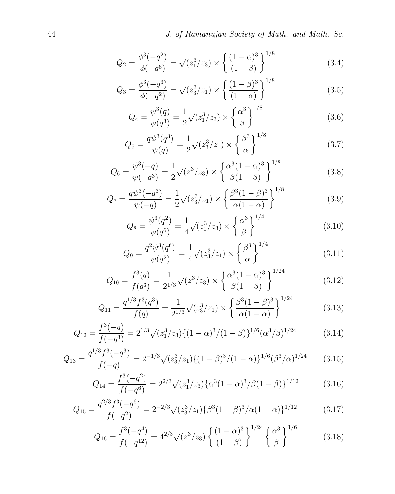$$
Q_2 = \frac{\phi^3(-q^2)}{\phi(-q^6)} = \sqrt{(z_1^3/z_3)} \times \left\{ \frac{(1-\alpha)^3}{(1-\beta)} \right\}^{1/8}
$$
(3.4)

$$
Q_3 = \frac{\phi^3(-q^3)}{\phi(-q^2)} = \sqrt{z_3^3/z_1} \times \left\{ \frac{(1-\beta)^3}{(1-\alpha)} \right\}^{1/8}
$$
(3.5)

$$
Q_4 = \frac{\psi^3(q)}{\psi(q^3)} = \frac{1}{2}\sqrt{(z_1^3/z_3)} \times \left\{\frac{\alpha^3}{\beta}\right\}^{1/8}
$$
 (3.6)

$$
Q_5 = \frac{q\psi^3(q^3)}{\psi(q)} = \frac{1}{2}\sqrt{(z_3^3/z_1)} \times \left\{\frac{\beta^3}{\alpha}\right\}^{1/8}
$$
 (3.7)

$$
Q_6 = \frac{\psi^3(-q)}{\psi(-q^3)} = \frac{1}{2}\sqrt{(z_1^3/z_3)} \times \left\{\frac{\alpha^3(1-\alpha)^3}{\beta(1-\beta)}\right\}^{1/8}
$$
(3.8)

$$
Q_7 = \frac{q\psi^3(-q^3)}{\psi(-q)} = \frac{1}{2}\sqrt{(z_3^3/z_1)} \times \left\{\frac{\beta^3(1-\beta)^3}{\alpha(1-\alpha)}\right\}^{1/8}
$$
(3.9)

$$
Q_8 = \frac{\psi^3(q^2)}{\psi(q^6)} = \frac{1}{4}\sqrt{(z_1^3/z_3)} \times \left\{\frac{\alpha^3}{\beta}\right\}^{1/4}
$$
 (3.10)

$$
Q_9 = \frac{q^2 \psi^3(q^6)}{\psi(q^2)} = \frac{1}{4} \sqrt{(z_3^3/z_1)} \times \left\{ \frac{\beta^3}{\alpha} \right\}^{1/4}
$$
 (3.11)

$$
Q_{10} = \frac{f^3(q)}{f(q^3)} = \frac{1}{2^{1/3}}\sqrt{(z_1^3/z_3)} \times \left\{\frac{\alpha^3(1-\alpha)^3}{\beta(1-\beta)}\right\}^{1/24}
$$
(3.12)

$$
Q_{11} = \frac{q^{1/3} f^3(q^3)}{f(q)} = \frac{1}{2^{1/3}} \sqrt{(z_3^3/z_1)} \times \left\{ \frac{\beta^3 (1-\beta)^3}{\alpha (1-\alpha)} \right\}^{1/24}
$$
(3.13)

$$
Q_{12} = \frac{f^3(-q)}{f(-q^3)} = 2^{1/3} \sqrt{(z_1^3/z_3)} \{ (1-\alpha)^3 / (1-\beta) \}^{1/6} (\alpha^3 / \beta)^{1/24}
$$
(3.14)

$$
Q_{13} = \frac{q^{1/3} f^3(-q^3)}{f(-q)} = 2^{-1/3} \sqrt{(z_3^3/z_1)} \{ (1-\beta)^3 / (1-\alpha) \}^{1/6} (\beta^3/\alpha)^{1/24} \tag{3.15}
$$

$$
Q_{14} = \frac{f^3(-q^2)}{f(-q^6)} = 2^{2/3} \sqrt{(z_1^3/z_3)} {\alpha^3 (1-\alpha)^3 / \beta (1-\beta)}^{1/12}
$$
 (3.16)

$$
Q_{15} = \frac{q^{2/3} f^3(-q^6)}{f(-q^2)} = 2^{-2/3} \sqrt{(z_3^3/z_1)} {\beta^3 (1-\beta)^3 / \alpha (1-\alpha)}^{1/12}
$$
 (3.17)

$$
Q_{16} = \frac{f^3(-q^4)}{f(-q^{12})} = 4^{2/3} \sqrt{(z_1^3/z_3)} \left\{ \frac{(1-\alpha)^3}{(1-\beta)} \right\}^{1/24} \left\{ \frac{\alpha^3}{\beta} \right\}^{1/6}
$$
(3.18)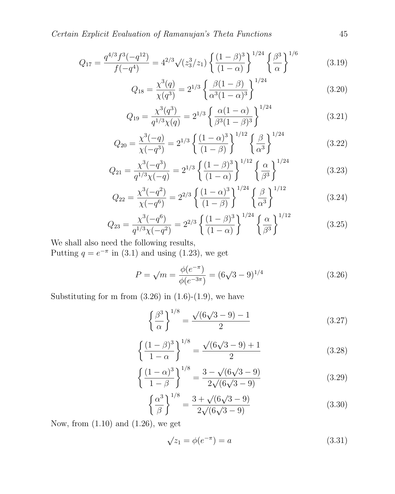Certain Explicit Evaluation of Ramanujan's Theta Functions 45

$$
Q_{17} = \frac{q^{4/3} f^3(-q^{12})}{f(-q^4)} = 4^{2/3} \sqrt{(z_3^3/z_1)} \left\{ \frac{(1-\beta)^3}{(1-\alpha)} \right\}^{1/24} \left\{ \frac{\beta^3}{\alpha} \right\}^{1/6} \tag{3.19}
$$

$$
Q_{18} = \frac{\chi^3(q)}{\chi(q^3)} = 2^{1/3} \left\{ \frac{\beta(1-\beta)}{\alpha^3(1-\alpha)^3} \right\}^{1/24}
$$
 (3.20)

$$
Q_{19} = \frac{\chi^3(q^3)}{q^{1/3}\chi(q)} = 2^{1/3} \left\{ \frac{\alpha(1-\alpha)}{\beta^3(1-\beta)^3} \right\}^{1/24}
$$
 (3.21)

$$
Q_{20} = \frac{\chi^3(-q)}{\chi(-q^3)} = 2^{1/3} \left\{ \frac{(1-\alpha)^3}{(1-\beta)} \right\}^{1/12} \left\{ \frac{\beta}{\alpha^3} \right\}^{1/24}
$$
(3.22)

$$
Q_{21} = \frac{\chi^3(-q^3)}{q^{1/3}\chi(-q)} = 2^{1/3} \left\{ \frac{(1-\beta)^3}{(1-\alpha)} \right\}^{1/12} \left\{ \frac{\alpha}{\beta^3} \right\}^{1/24}
$$
(3.23)

$$
Q_{22} = \frac{\chi^3(-q^2)}{\chi(-q^6)} = 2^{2/3} \left\{ \frac{(1-\alpha)^3}{(1-\beta)} \right\}^{1/24} \left\{ \frac{\beta}{\alpha^3} \right\}^{1/12}
$$
(3.24)

$$
Q_{23} = \frac{\chi^3(-q^6)}{q^{1/3}\chi(-q^2)} = 2^{2/3} \left\{ \frac{(1-\beta)^3}{(1-\alpha)} \right\}^{1/24} \left\{ \frac{\alpha}{\beta^3} \right\}^{1/12}
$$
(3.25)

We shall also need the following results,

Putting  $q = e^{-\pi}$  in (3.1) and using (1.23), we get

$$
P = \sqrt{m} = \frac{\phi(e^{-\pi})}{\phi(e^{-3\pi})} = (6\sqrt{3} - 9)^{1/4}
$$
 (3.26)

Substituting for m from  $(3.26)$  in  $(1.6)-(1.9)$ , we have

$$
\left\{\frac{\beta^3}{\alpha}\right\}^{1/8} = \frac{\sqrt{(6\sqrt{3}-9)}-1}{2} \tag{3.27}
$$

$$
\left\{\frac{(1-\beta)^3}{1-\alpha}\right\}^{1/8} = \frac{\sqrt{(6\sqrt{3}-9)+1}}{2}
$$
 (3.28)

$$
\left\{\frac{(1-\alpha)^3}{1-\beta}\right\}^{1/8} = \frac{3-\sqrt{(6\sqrt{3}-9)}}{2\sqrt{(6\sqrt{3}-9)}}\tag{3.29}
$$

$$
\left\{\frac{\alpha^3}{\beta}\right\}^{1/8} = \frac{3 + \sqrt{(6\sqrt{3} - 9)}}{2\sqrt{(6\sqrt{3} - 9)}}
$$
(3.30)

Now, from (1.10) and (1.26), we get

$$
\sqrt{z_1} = \phi(e^{-\pi}) = a \tag{3.31}
$$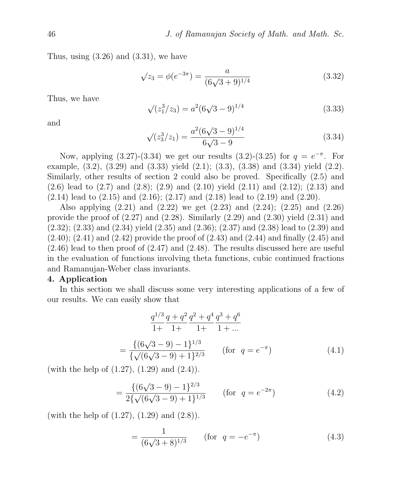Thus, using  $(3.26)$  and  $(3.31)$ , we have

$$
\sqrt{z_3} = \phi(e^{-3\pi}) = \frac{a}{(6\sqrt{3}+9)^{1/4}}
$$
\n(3.32)

Thus, we have

$$
\sqrt{(z_1^3/z_3)} = a^2(6\sqrt{3} - 9)^{1/4}
$$
\n(3.33)

and

$$
\sqrt{(z_3^3/z_1)} = \frac{a^2(6\sqrt{3}-9)^{1/4}}{6\sqrt{3}-9}
$$
\n(3.34)

Now, applying (3.27)-(3.34) we get our results (3.2)-(3.25) for  $q = e^{-\pi}$ . For example,  $(3.2)$ ,  $(3.29)$  and  $(3.33)$  yield  $(2.1)$ ;  $(3.3)$ ,  $(3.38)$  and  $(3.34)$  yield  $(2.2)$ . Similarly, other results of section 2 could also be proved. Specifically (2.5) and (2.6) lead to (2.7) and (2.8); (2.9) and (2.10) yield (2.11) and (2.12); (2.13) and  $(2.14)$  lead to  $(2.15)$  and  $(2.16)$ ;  $(2.17)$  and  $(2.18)$  lead to  $(2.19)$  and  $(2.20)$ .

Also applying (2.21) and (2.22) we get (2.23) and (2.24); (2.25) and (2.26) provide the proof of  $(2.27)$  and  $(2.28)$ . Similarly  $(2.29)$  and  $(2.30)$  yield  $(2.31)$  and (2.32); (2.33) and (2.34) yield (2.35) and (2.36); (2.37) and (2.38) lead to (2.39) and  $(2.40)$ ;  $(2.41)$  and  $(2.42)$  provide the proof of  $(2.43)$  and  $(2.44)$  and finally  $(2.45)$  and (2.46) lead to then proof of (2.47) and (2.48). The results discussed here are useful in the evaluation of functions involving theta functions, cubic continued fractions and Ramanujan-Weber class invariants.

#### 4. Application

In this section we shall discuss some very interesting applications of a few of our results. We can easily show that

$$
\frac{q^{1/3}}{1+} \frac{q+q^2}{1+} \frac{q^2+q^4}{1+} \frac{q^3+q^6}{1+} = \frac{\{(6\sqrt{3}-9)-1\}^{1/3}}{\{\sqrt{(6\sqrt{3}-9)+1\}^{2/3}}}
$$
 (for  $q = e^{-\pi}$ ) (4.1)

(with the help of  $(1.27)$ ,  $(1.29)$  and  $(2.4)$ ).

$$
= \frac{\{(6\sqrt{3}-9)-1\}^{2/3}}{2\{\sqrt{(6\sqrt{3}-9)+1\}^{1/3}}}
$$
 (for  $q = e^{-2\pi}$ ) (4.2)

(with the help of  $(1.27)$ ,  $(1.29)$  and  $(2.8)$ ).

$$
= \frac{1}{(6\sqrt{3} + 8)^{1/3}} \qquad \text{(for } q = -e^{-\pi})
$$
 (4.3)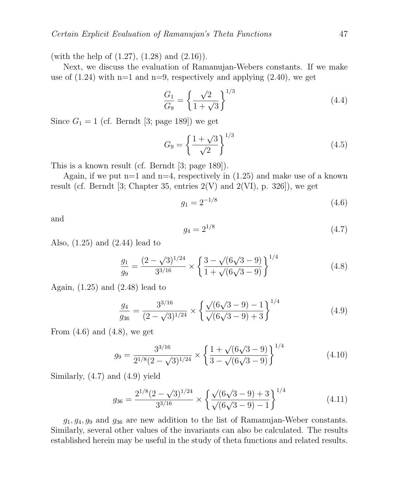(with the help of (1.27), (1.28) and (2.16)).

Next, we discuss the evaluation of Ramanujan-Webers constants. If we make use of  $(1.24)$  with n=1 and n=9, respectively and applying  $(2.40)$ , we get

$$
\frac{G_1}{G_9} = \left\{ \frac{\sqrt{2}}{1 + \sqrt{3}} \right\}^{1/3}
$$
\n(4.4)

Since  $G_1 = 1$  (cf. Berndt [3; page 189]) we get

$$
G_9 = \left\{ \frac{1+\sqrt{3}}{\sqrt{2}} \right\}^{1/3} \tag{4.5}
$$

This is a known result (cf. Berndt [3; page 189]).

Again, if we put  $n=1$  and  $n=4$ , respectively in  $(1.25)$  and make use of a known result (cf. Berndt [3; Chapter 35, entries  $2(V)$  and  $2(VI)$ , p. 326]), we get

$$
g_1 = 2^{-1/8} \tag{4.6}
$$

and

$$
g_4 = 2^{1/8} \tag{4.7}
$$

Also, (1.25) and (2.44) lead to

$$
\frac{g_1}{g_9} = \frac{(2-\sqrt{3})^{1/24}}{3^{3/16}} \times \left\{ \frac{3-\sqrt{(6\sqrt{3}-9)}}{1+\sqrt{(6\sqrt{3}-9)}} \right\}^{1/4}
$$
(4.8)

Again, (1.25) and (2.48) lead to

$$
\frac{g_4}{g_{36}} = \frac{3^{3/16}}{(2-\sqrt{3})^{1/24}} \times \left\{ \frac{\sqrt{(6\sqrt{3}-9)-1}}{\sqrt{(6\sqrt{3}-9)+3}} \right\}^{1/4}
$$
(4.9)

From  $(4.6)$  and  $(4.8)$ , we get

$$
g_9 = \frac{3^{3/16}}{2^{1/8}(2-\sqrt{3})^{1/24}} \times \left\{ \frac{1+\sqrt{(6\sqrt{3}-9)}}{3-\sqrt{(6\sqrt{3}-9)}} \right\}^{1/4}
$$
(4.10)

Similarly, (4.7) and (4.9) yield

$$
g_{36} = \frac{2^{1/8} (2 - \sqrt{3})^{1/24}}{3^{3/16}} \times \left\{ \frac{\sqrt{(6\sqrt{3} - 9)} + 3}{\sqrt{(6\sqrt{3} - 9)} - 1} \right\}^{1/4}
$$
(4.11)

 $g_1, g_4, g_9$  and  $g_{36}$  are new addition to the list of Ramanujan-Weber constants. Similarly, several other values of the invariants can also be calculated. The results established herein may be useful in the study of theta functions and related results.